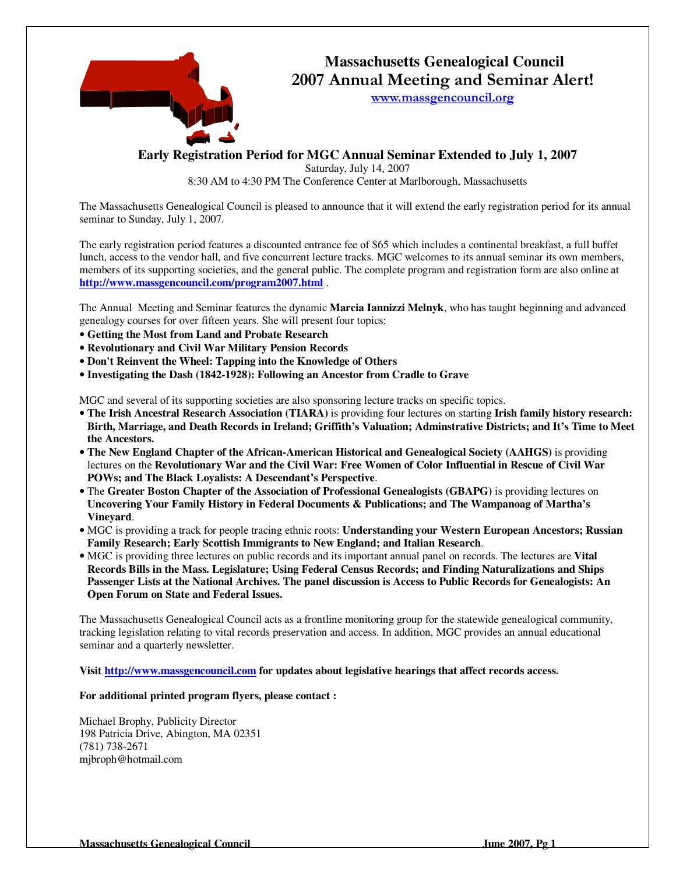

# **Massachusetts Genealogical Council** 2007 Annual Meeting and Seminar Alert!

www.massgencouncil.org

**Early Registration Period for MGC Annual Seminar Extended to July 1, 2007** 

Saturday, July 14, 2007 8:30 AM to 4:30 PM The Conference Center at Marlborough, Massachusetts

The Massachusetts Genealogical Council is pleased to announce that it will extend the early registration period for its annual seminar to Sunday, July 1, 2007.

The early registration period features a discounted entrance fee of \$65 which includes a continental breakfast, a full buffet lunch, access to the vendor hall, and five concurrent lecture tracks. MGC welcomes to its annual seminar its own members, members of its supporting societies, and the general public. The complete program and registration form are also online at **http://www.massgencouncil.com/program2007.html** .

The Annual Meeting and Seminar features the dynamic **Marcia Iannizzi Melnyk**, who has taught beginning and advanced genealogy courses for over fifteen years. She will present four topics:

- **Getting the Most from Land and Probate Research**
- **Revolutionary and Civil War Military Pension Records**
- **Don't Reinvent the Wheel: Tapping into the Knowledge of Others**
- **Investigating the Dash (1842-1928): Following an Ancestor from Cradle to Grave**

MGC and several of its supporting societies are also sponsoring lecture tracks on specific topics.

- **The Irish Ancestral Research Association (TIARA)** is providing four lectures on starting **Irish family history research: Birth, Marriage, and Death Records in Ireland; Griffith's Valuation; Adminstrative Districts; and It's Time to Meet the Ancestors.**
- **The New England Chapter of the African-American Historical and Genealogical Society (AAHGS)** is providing lectures on the **Revolutionary War and the Civil War: Free Women of Color Influential in Rescue of Civil War POWs; and The Black Loyalists: A Descendant's Perspective**.
- The **Greater Boston Chapter of the Association of Professional Genealogists (GBAPG)** is providing lectures on **Uncovering Your Family History in Federal Documents & Publications; and The Wampanoag of Martha's Vineyard**.
- MGC is providing a track for people tracing ethnic roots: **Understanding your Western European Ancestors; Russian Family Research; Early Scottish Immigrants to New England; and Italian Research**.
- MGC is providing three lectures on public records and its important annual panel on records. The lectures are **Vital Records Bills in the Mass. Legislature; Using Federal Census Records; and Finding Naturalizations and Ships Passenger Lists at the National Archives. The panel discussion is Access to Public Records for Genealogists: An Open Forum on State and Federal Issues.**

The Massachusetts Genealogical Council acts as a frontline monitoring group for the statewide genealogical community, tracking legislation relating to vital records preservation and access. In addition, MGC provides an annual educational seminar and a quarterly newsletter.

**Visit http://www.massgencouncil.com for updates about legislative hearings that affect records access.** 

**For additional printed program flyers, please contact :** 

Michael Brophy, Publicity Director 198 Patricia Drive, Abington, MA 02351 (781) 738-2671 mjbroph@hotmail.com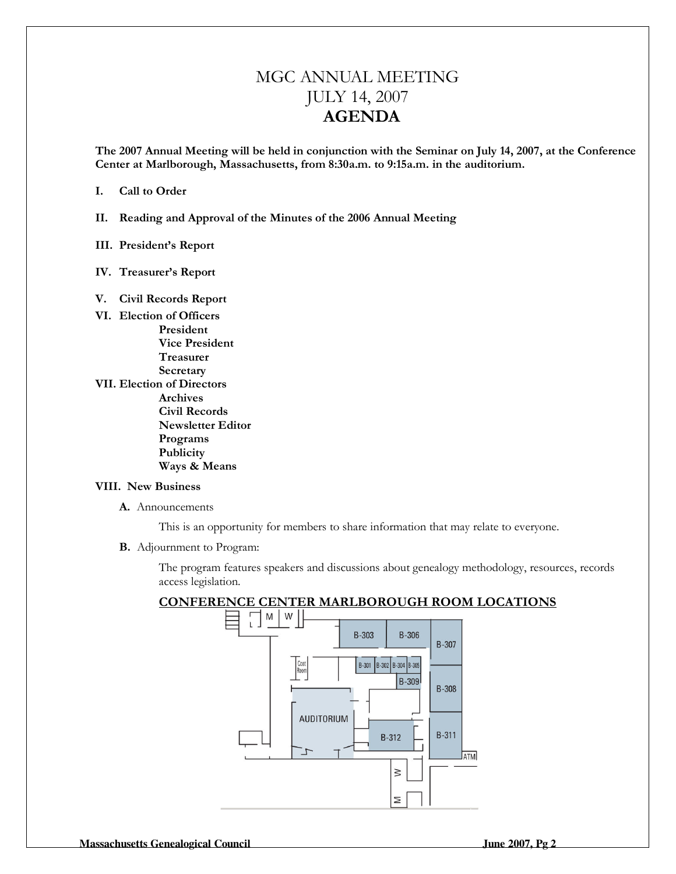# MGC ANNUAL MEETING JULY 14, 2007 AGENDA

The 2007 Annual Meeting will be held in conjunction with the Seminar on July 14, 2007, at the Conference Center at Marlborough, Massachusetts, from 8:30a.m. to 9:15a.m. in the auditorium.

#### I. Call to Order

II. Reading and Approval of the Minutes of the 2006 Annual Meeting

#### III. President's Report

IV. Treasurer's Report

#### V. Civil Records Report

- VI. Election of Officers President Vice President Treasurer Secretary
- VII. Election of Directors Archives Civil Records Newsletter Editor Programs Publicity Ways & Means

#### VIII. New Business

A. Announcements

This is an opportunity for members to share information that may relate to everyone.

B. Adjournment to Program:

The program features speakers and discussions about genealogy methodology, resources, records access legislation.

## CONFERENCE CENTER MARLBOROUGH ROOM LOCATIONS

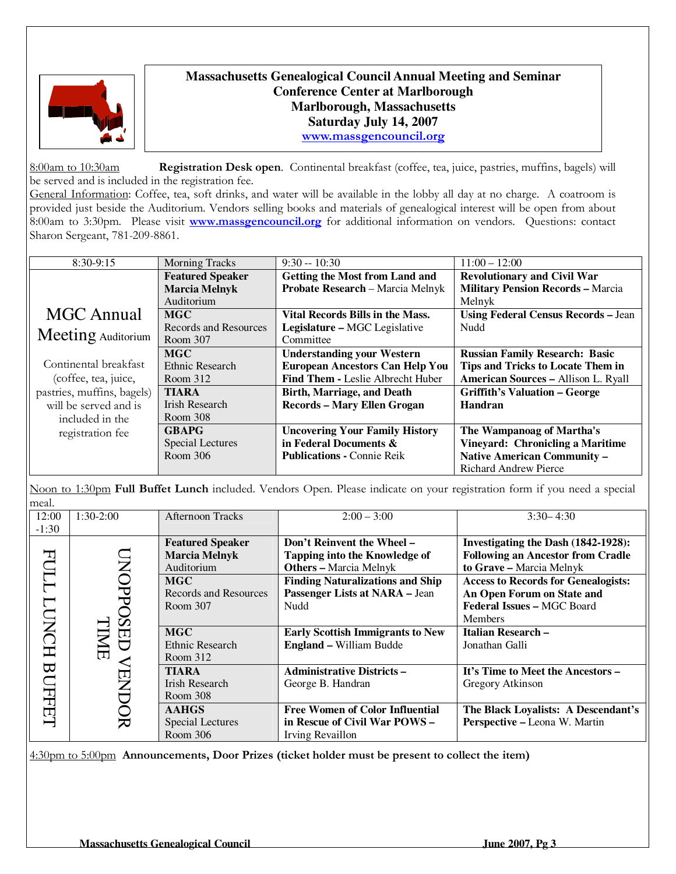

# **Massachusetts Genealogical Council Annual Meeting and Seminar Conference Center at Marlborough Marlborough, Massachusetts Saturday July 14, 2007**  www.massgencouncil.org

8:00am to 10:30am Registration Desk open. Continental breakfast (coffee, tea, juice, pastries, muffins, bagels) will be served and is included in the registration fee. General Information: Coffee, tea, soft drinks, and water will be available in the lobby all day at no charge. A coatroom is provided just beside the Auditorium. Vendors selling books and materials of genealogical interest will be open from about

8:00am to 3:30pm. Please visit www.massgencouncil.org for additional information on vendors. Questions: contact Sharon Sergeant, 781-209-8861.

| $8:30-9:15$                | <b>Morning Tracks</b>   | $9:30 - 10:30$                          | $11:00 - 12:00$                            |
|----------------------------|-------------------------|-----------------------------------------|--------------------------------------------|
|                            | <b>Featured Speaker</b> | <b>Getting the Most from Land and</b>   | <b>Revolutionary and Civil War</b>         |
|                            | <b>Marcia Melnyk</b>    | Probate Research - Marcia Melnyk        | <b>Military Pension Records - Marcia</b>   |
|                            | Auditorium              |                                         | Melnyk                                     |
| <b>MGC</b> Annual          | <b>MGC</b>              | <b>Vital Records Bills in the Mass.</b> | <b>Using Federal Census Records - Jean</b> |
|                            | Records and Resources   | Legislature - MGC Legislative           | Nudd                                       |
| Meeting Auditorium         | Room 307                | Committee                               |                                            |
|                            | <b>MGC</b>              | <b>Understanding your Western</b>       | <b>Russian Family Research: Basic</b>      |
| Continental breakfast      | Ethnic Research         | <b>European Ancestors Can Help You</b>  | <b>Tips and Tricks to Locate Them in</b>   |
| (coffee, tea, juice,       | Room 312                | Find Them - Leslie Albrecht Huber       | <b>American Sources - Allison L. Ryall</b> |
| pastries, muffins, bagels) | <b>TIARA</b>            | <b>Birth, Marriage, and Death</b>       | <b>Griffith's Valuation – George</b>       |
| will be served and is      | Irish Research          | <b>Records - Mary Ellen Grogan</b>      | Handran                                    |
| included in the            | Room 308                |                                         |                                            |
| registration fee           | <b>GBAPG</b>            | <b>Uncovering Your Family History</b>   | The Wampanoag of Martha's                  |
|                            | <b>Special Lectures</b> | in Federal Documents &                  | <b>Vineyard: Chronicling a Maritime</b>    |
|                            | Room 306                | <b>Publications - Connie Reik</b>       | <b>Native American Community -</b>         |
|                            |                         |                                         | Richard Andrew Pierce                      |

Noon to 1:30pm Full Buffet Lunch included. Vendors Open. Please indicate on your registration form if you need a special meal.

| 12:00        | $1:30-2:00$ | <b>Afternoon Tracks</b> | $2:00 - 3:00$                           | $3:30 - 4:30$                              |
|--------------|-------------|-------------------------|-----------------------------------------|--------------------------------------------|
| $-1:30$      |             |                         |                                         |                                            |
|              |             | <b>Featured Speaker</b> | Don't Reinvent the Wheel -              | Investigating the Dash (1842-1928):        |
| EC           |             | <b>Marcia Melnyk</b>    | <b>Tapping into the Knowledge of</b>    | <b>Following an Ancestor from Cradle</b>   |
|              | <b>NOPP</b> | Auditorium              | <b>Others - Marcia Melnyk</b>           | to Grave - Marcia Melnyk                   |
| ТT           |             | <b>MGC</b>              | <b>Finding Naturalizations and Ship</b> | <b>Access to Records for Genealogists:</b> |
|              |             | Records and Resources   | Passenger Lists at NARA - Jean          | An Open Forum on State and                 |
|              |             | Room 307                | Nudd                                    | Federal Issues - MGC Board                 |
|              |             |                         |                                         | <b>Members</b>                             |
| <b>TONCH</b> | <b>SED</b>  | <b>MGC</b>              | <b>Early Scottish Immigrants to New</b> | <b>Italian Research -</b>                  |
|              | Ě           | <b>Ethnic Research</b>  | <b>England - William Budde</b>          | Jonathan Galli                             |
|              |             | Room 312                |                                         |                                            |
|              |             | <b>TIARA</b>            | <b>Administrative Districts-</b>        | It's Time to Meet the Ancestors -          |
|              |             | <b>Irish Research</b>   | George B. Handran                       | Gregory Atkinson                           |
|              |             | Room 308                |                                         |                                            |
| BUFFET       |             | <b>AAHGS</b>            | <b>Free Women of Color Influential</b>  | The Black Loyalists: A Descendant's        |
|              |             | <b>Special Lectures</b> | in Rescue of Civil War POWS -           | Perspective - Leona W. Martin              |
|              |             | Room 306                | Irving Revaillon                        |                                            |

4:30pm to 5:00pm Announcements, Door Prizes (ticket holder must be present to collect the item)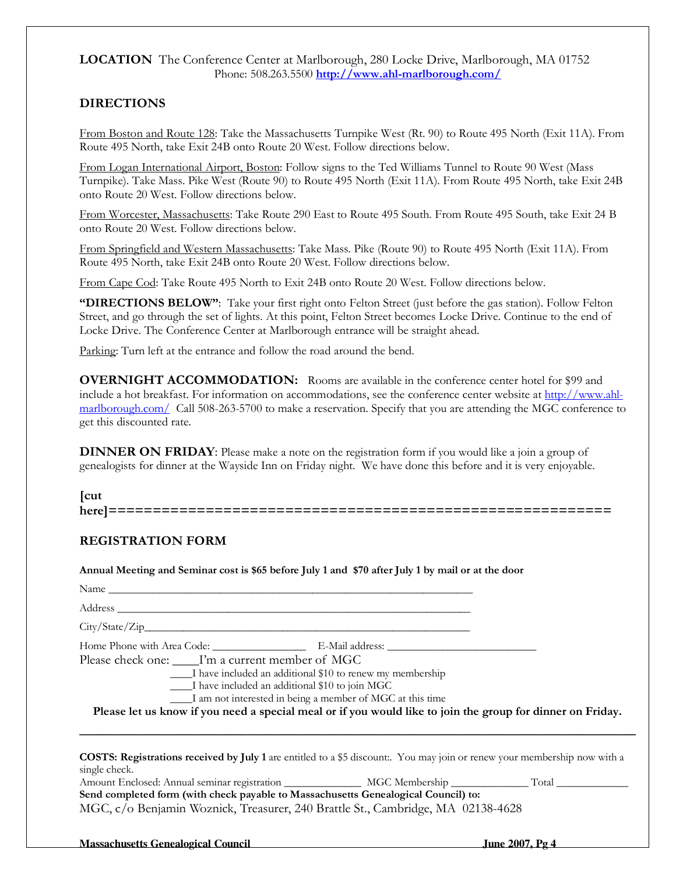## LOCATION The Conference Center at Marlborough, 280 Locke Drive, Marlborough, MA 01752 Phone: 508.263.5500 http://www.ahl-marlborough.com/

## DIRECTIONS

From Boston and Route 128: Take the Massachusetts Turnpike West (Rt. 90) to Route 495 North (Exit 11A). From Route 495 North, take Exit 24B onto Route 20 West. Follow directions below.

From Logan International Airport, Boston: Follow signs to the Ted Williams Tunnel to Route 90 West (Mass Turnpike). Take Mass. Pike West (Route 90) to Route 495 North (Exit 11A). From Route 495 North, take Exit 24B onto Route 20 West. Follow directions below.

From Worcester, Massachusetts: Take Route 290 East to Route 495 South. From Route 495 South, take Exit 24 B onto Route 20 West. Follow directions below.

From Springfield and Western Massachusetts: Take Mass. Pike (Route 90) to Route 495 North (Exit 11A). From Route 495 North, take Exit 24B onto Route 20 West. Follow directions below.

From Cape Cod: Take Route 495 North to Exit 24B onto Route 20 West. Follow directions below.

"DIRECTIONS BELOW": Take your first right onto Felton Street (just before the gas station). Follow Felton Street, and go through the set of lights. At this point, Felton Street becomes Locke Drive. Continue to the end of Locke Drive. The Conference Center at Marlborough entrance will be straight ahead.

Parking: Turn left at the entrance and follow the road around the bend.

OVERNIGHT ACCOMMODATION: Rooms are available in the conference center hotel for \$99 and include a hot breakfast. For information on accommodations, see the conference center website at http://www.ahlmarlborough.com/ Call 508-263-5700 to make a reservation. Specify that you are attending the MGC conference to get this discounted rate.

DINNER ON FRIDAY: Please make a note on the registration form if you would like a join a group of genealogists for dinner at the Wayside Inn on Friday night. We have done this before and it is very enjoyable.

[cut here]=========================================================

## REGISTRATION FORM

Annual Meeting and Seminar cost is \$65 before July 1 and \$70 after July 1 by mail or at the door

| <b>NT</b><br>$1$ value |  |  |  |
|------------------------|--|--|--|
|                        |  |  |  |

Address \_\_\_\_\_\_\_\_\_\_\_\_\_\_\_\_\_\_\_\_\_\_\_\_\_\_\_\_\_\_\_\_\_\_\_\_\_\_\_\_\_\_\_\_\_\_\_\_\_\_\_\_\_\_\_\_\_\_\_\_\_\_\_\_

 $City/State/Zip$ 

Home Phone with Area Code: \_\_\_\_\_\_\_\_\_\_\_\_\_\_\_\_\_ E-Mail address: \_\_\_\_\_\_\_\_\_\_\_\_\_\_\_\_\_\_\_\_\_\_\_\_\_\_\_ Please check one: \_\_\_\_\_I'm a current member of MGC

\_\_\_\_I have included an additional \$10 to renew my membership

\_\_\_\_I have included an additional \$10 to join MGC

\_\_\_\_I am not interested in being a member of MGC at this time

Please let us know if you need a special meal or if you would like to join the group for dinner on Friday. \_\_\_\_\_\_\_\_\_\_\_\_\_\_\_\_\_\_\_\_\_\_\_\_\_\_\_\_\_\_\_\_\_\_\_\_\_\_\_\_\_\_\_\_\_\_\_\_\_\_\_\_\_\_\_\_\_\_\_\_\_\_\_

COSTS: Registrations received by July 1 are entitled to a \$5 discount:. You may join or renew your membership now with a single check.

| Amount Enclosed: Annual seminar registration                                       | MGC Membership | Total |  |  |
|------------------------------------------------------------------------------------|----------------|-------|--|--|
| Send completed form (with check payable to Massachusetts Genealogical Council) to: |                |       |  |  |
| MGC, c/o Benjamin Woznick, Treasurer, 240 Brattle St., Cambridge, MA 02138-4628    |                |       |  |  |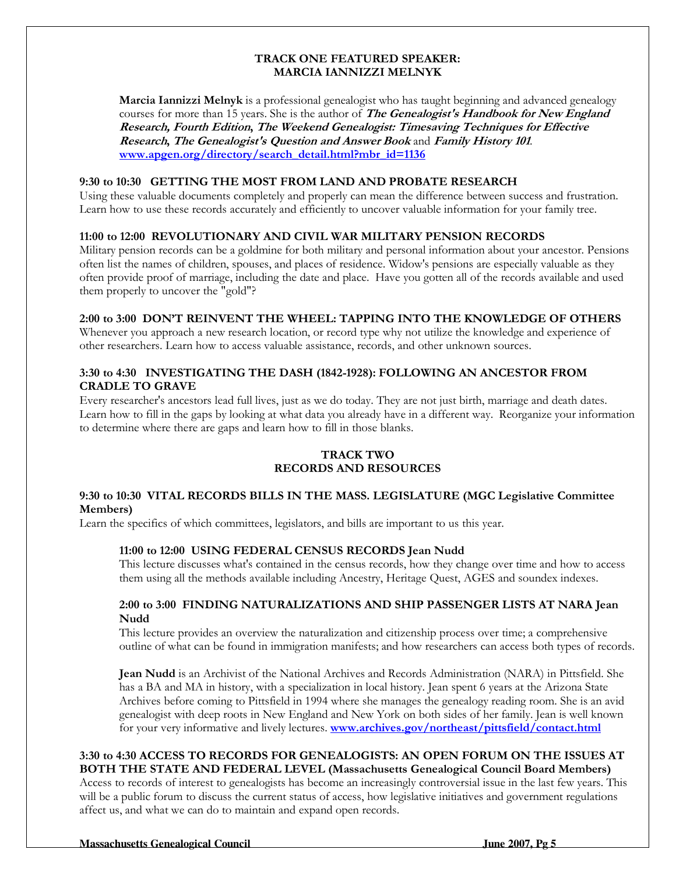### TRACK ONE FEATURED SPEAKER: MARCIA IANNIZZI MELNYK

Marcia Iannizzi Melnyk is a professional genealogist who has taught beginning and advanced genealogy courses for more than 15 years. She is the author of **The Genealogist's Handbook for New England** Research, Fourth Edition, The Weekend Genealogist: Timesaving Techniques for Effective Research, The Genealogist's Question and Answer Book and Family History 101. www.apgen.org/directory/search\_detail.html?mbr\_id=1136

## 9:30 to 10:30 GETTING THE MOST FROM LAND AND PROBATE RESEARCH

Using these valuable documents completely and properly can mean the difference between success and frustration. Learn how to use these records accurately and efficiently to uncover valuable information for your family tree.

## 11:00 to 12:00 REVOLUTIONARY AND CIVIL WAR MILITARY PENSION RECORDS

Military pension records can be a goldmine for both military and personal information about your ancestor. Pensions often list the names of children, spouses, and places of residence. Widow's pensions are especially valuable as they often provide proof of marriage, including the date and place. Have you gotten all of the records available and used them properly to uncover the "gold"?

#### 2:00 to 3:00 DON'T REINVENT THE WHEEL: TAPPING INTO THE KNOWLEDGE OF OTHERS

Whenever you approach a new research location, or record type why not utilize the knowledge and experience of other researchers. Learn how to access valuable assistance, records, and other unknown sources.

## 3:30 to 4:30 INVESTIGATING THE DASH (1842-1928): FOLLOWING AN ANCESTOR FROM CRADLE TO GRAVE

Every researcher's ancestors lead full lives, just as we do today. They are not just birth, marriage and death dates. Learn how to fill in the gaps by looking at what data you already have in a different way. Reorganize your information to determine where there are gaps and learn how to fill in those blanks.

## TRACK TWO RECORDS AND RESOURCES

#### 9:30 to 10:30 VITAL RECORDS BILLS IN THE MASS. LEGISLATURE (MGC Legislative Committee Members)

Learn the specifics of which committees, legislators, and bills are important to us this year.

#### 11:00 to 12:00 USING FEDERAL CENSUS RECORDS Jean Nudd

This lecture discusses what's contained in the census records, how they change over time and how to access them using all the methods available including Ancestry, Heritage Quest, AGES and soundex indexes.

#### 2:00 to 3:00 FINDING NATURALIZATIONS AND SHIP PASSENGER LISTS AT NARA Jean Nudd

This lecture provides an overview the naturalization and citizenship process over time; a comprehensive outline of what can be found in immigration manifests; and how researchers can access both types of records.

Jean Nudd is an Archivist of the National Archives and Records Administration (NARA) in Pittsfield. She has a BA and MA in history, with a specialization in local history. Jean spent 6 years at the Arizona State Archives before coming to Pittsfield in 1994 where she manages the genealogy reading room. She is an avid genealogist with deep roots in New England and New York on both sides of her family. Jean is well known for your very informative and lively lectures. www.archives.gov/northeast/pittsfield/contact.html

#### 3:30 to 4:30 ACCESS TO RECORDS FOR GENEALOGISTS: AN OPEN FORUM ON THE ISSUES AT BOTH THE STATE AND FEDERAL LEVEL (Massachusetts Genealogical Council Board Members)

Access to records of interest to genealogists has become an increasingly controversial issue in the last few years. This will be a public forum to discuss the current status of access, how legislative initiatives and government regulations affect us, and what we can do to maintain and expand open records.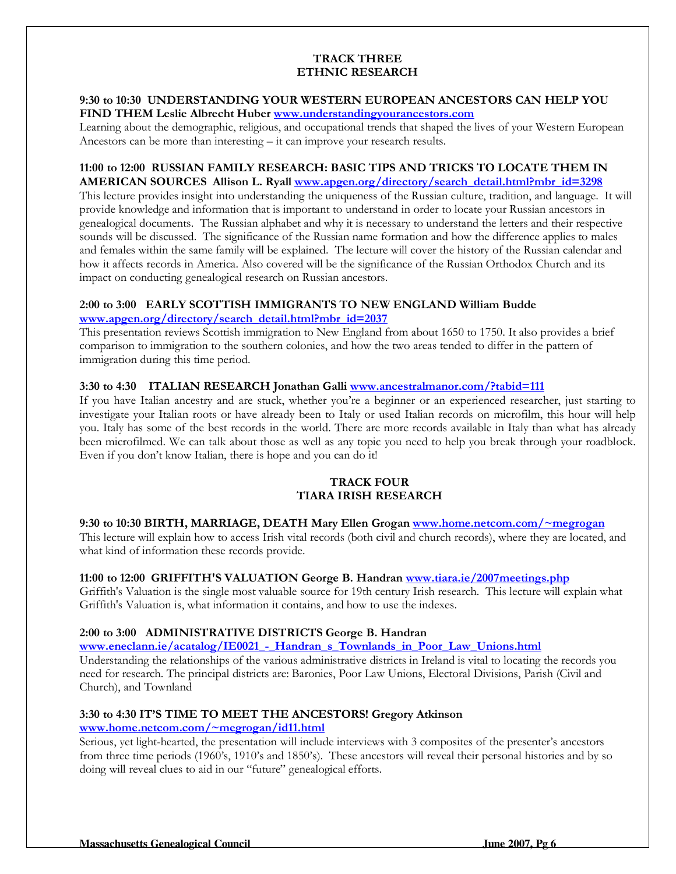### TRACK THREE ETHNIC RESEARCH

#### 9:30 to 10:30 UNDERSTANDING YOUR WESTERN EUROPEAN ANCESTORS CAN HELP YOU FIND THEM Leslie Albrecht Huber www.understandingyourancestors.com

Learning about the demographic, religious, and occupational trends that shaped the lives of your Western European Ancestors can be more than interesting – it can improve your research results.

#### 11:00 to 12:00 RUSSIAN FAMILY RESEARCH: BASIC TIPS AND TRICKS TO LOCATE THEM IN AMERICAN SOURCES Allison L. Ryall www.apgen.org/directory/search\_detail.html?mbr\_id=3298

This lecture provides insight into understanding the uniqueness of the Russian culture, tradition, and language. It will provide knowledge and information that is important to understand in order to locate your Russian ancestors in genealogical documents. The Russian alphabet and why it is necessary to understand the letters and their respective sounds will be discussed. The significance of the Russian name formation and how the difference applies to males and females within the same family will be explained. The lecture will cover the history of the Russian calendar and how it affects records in America. Also covered will be the significance of the Russian Orthodox Church and its impact on conducting genealogical research on Russian ancestors.

## 2:00 to 3:00 EARLY SCOTTISH IMMIGRANTS TO NEW ENGLAND William Budde www.apgen.org/directory/search\_detail.html?mbr\_id=2037

This presentation reviews Scottish immigration to New England from about 1650 to 1750. It also provides a brief comparison to immigration to the southern colonies, and how the two areas tended to differ in the pattern of immigration during this time period.

#### 3:30 to 4:30 ITALIAN RESEARCH Jonathan Galli www.ancestralmanor.com/?tabid=111

If you have Italian ancestry and are stuck, whether you're a beginner or an experienced researcher, just starting to investigate your Italian roots or have already been to Italy or used Italian records on microfilm, this hour will help you. Italy has some of the best records in the world. There are more records available in Italy than what has already been microfilmed. We can talk about those as well as any topic you need to help you break through your roadblock. Even if you don't know Italian, there is hope and you can do it!

#### TRACK FOUR TIARA IRISH RESEARCH

#### 9:30 to 10:30 BIRTH, MARRIAGE, DEATH Mary Ellen Grogan www.home.netcom.com/~megrogan

This lecture will explain how to access Irish vital records (both civil and church records), where they are located, and what kind of information these records provide.

#### 11:00 to 12:00 GRIFFITH'S VALUATION George B. Handran www.tiara.ie/2007meetings.php

Griffith's Valuation is the single most valuable source for 19th century Irish research. This lecture will explain what Griffith's Valuation is, what information it contains, and how to use the indexes.

## 2:00 to 3:00 ADMINISTRATIVE DISTRICTS George B. Handran

www.eneclann.ie/acatalog/IE0021 - Handran\_s\_Townlands\_in\_Poor\_Law\_Unions.html

Understanding the relationships of the various administrative districts in Ireland is vital to locating the records you need for research. The principal districts are: Baronies, Poor Law Unions, Electoral Divisions, Parish (Civil and Church), and Townland

## 3:30 to 4:30 IT'S TIME TO MEET THE ANCESTORS! Gregory Atkinson

## www.home.netcom.com/~megrogan/id11.html

Serious, yet light-hearted, the presentation will include interviews with 3 composites of the presenter's ancestors from three time periods (1960's, 1910's and 1850's). These ancestors will reveal their personal histories and by so doing will reveal clues to aid in our "future" genealogical efforts.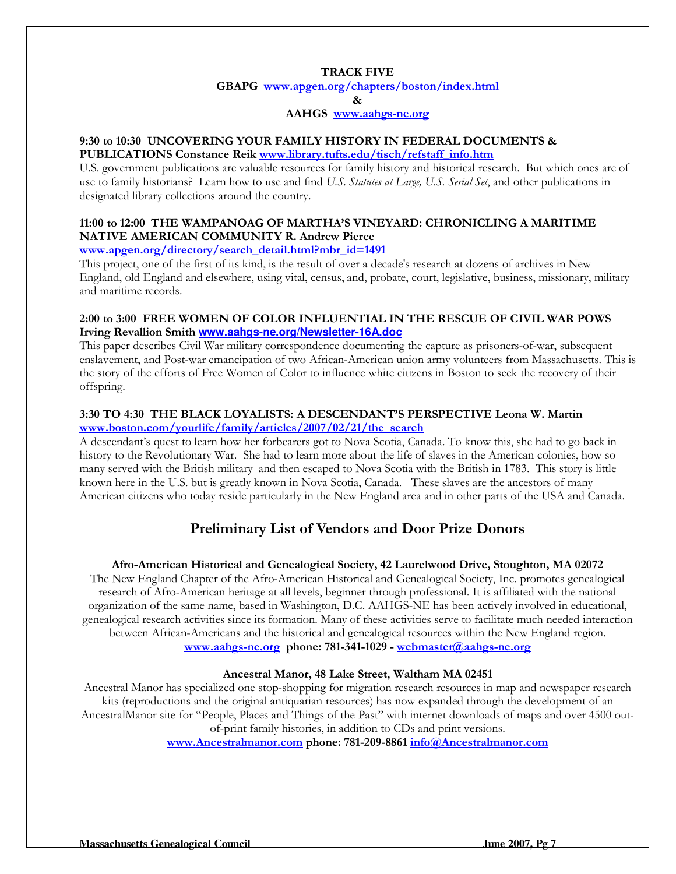#### TRACK FIVE

GBAPG www.apgen.org/chapters/boston/index.html &

### AAHGS www.aahgs-ne.org

#### 9:30 to 10:30 UNCOVERING YOUR FAMILY HISTORY IN FEDERAL DOCUMENTS & PUBLICATIONS Constance Reik www.library.tufts.edu/tisch/refstaff\_info.htm

U.S. government publications are valuable resources for family history and historical research. But which ones are of use to family historians? Learn how to use and find U.S. Statutes at Large, U.S. Serial Set, and other publications in designated library collections around the country.

## 11:00 to 12:00 THE WAMPANOAG OF MARTHA'S VINEYARD: CHRONICLING A MARITIME NATIVE AMERICAN COMMUNITY R. Andrew Pierce

## www.apgen.org/directory/search\_detail.html?mbr\_id=1491

This project, one of the first of its kind, is the result of over a decade's research at dozens of archives in New England, old England and elsewhere, using vital, census, and, probate, court, legislative, business, missionary, military and maritime records.

## 2:00 to 3:00 FREE WOMEN OF COLOR INFLUENTIAL IN THE RESCUE OF CIVIL WAR POWS Irving Revallion Smith **www.aahgs-ne.org/Newsletter-16A.doc**

This paper describes Civil War military correspondence documenting the capture as prisoners-of-war, subsequent enslavement, and Post-war emancipation of two African-American union army volunteers from Massachusetts. This is the story of the efforts of Free Women of Color to influence white citizens in Boston to seek the recovery of their offspring.

## 3:30 TO 4:30 THE BLACK LOYALISTS: A DESCENDANT'S PERSPECTIVE Leona W. Martin www.boston.com/yourlife/family/articles/2007/02/21/the\_search

A descendant's quest to learn how her forbearers got to Nova Scotia, Canada. To know this, she had to go back in history to the Revolutionary War. She had to learn more about the life of slaves in the American colonies, how so many served with the British military and then escaped to Nova Scotia with the British in 1783. This story is little known here in the U.S. but is greatly known in Nova Scotia, Canada. These slaves are the ancestors of many American citizens who today reside particularly in the New England area and in other parts of the USA and Canada.

# Preliminary List of Vendors and Door Prize Donors

## Afro-American Historical and Genealogical Society, 42 Laurelwood Drive, Stoughton, MA 02072

The New England Chapter of the Afro-American Historical and Genealogical Society, Inc. promotes genealogical research of Afro-American heritage at all levels, beginner through professional. It is affiliated with the national organization of the same name, based in Washington, D.C. AAHGS-NE has been actively involved in educational, genealogical research activities since its formation. Many of these activities serve to facilitate much needed interaction between African-Americans and the historical and genealogical resources within the New England region. www.aahgs-ne.org phone: 781-341-1029 - webmaster@aahgs-ne.org

#### Ancestral Manor, 48 Lake Street, Waltham MA 02451

Ancestral Manor has specialized one stop-shopping for migration research resources in map and newspaper research kits (reproductions and the original antiquarian resources) has now expanded through the development of an AncestralManor site for "People, Places and Things of the Past" with internet downloads of maps and over 4500 outof-print family histories, in addition to CDs and print versions.

www.Ancestralmanor.com phone: 781-209-8861 info@Ancestralmanor.com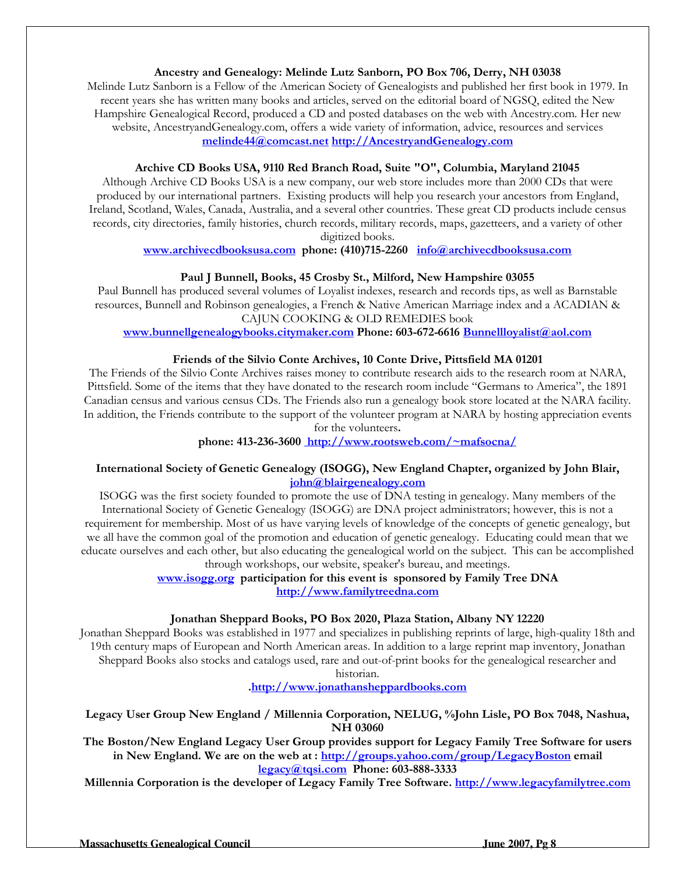### Ancestry and Genealogy: Melinde Lutz Sanborn, PO Box 706, Derry, NH 03038

Melinde Lutz Sanborn is a Fellow of the American Society of Genealogists and published her first book in 1979. In recent years she has written many books and articles, served on the editorial board of NGSQ, edited the New Hampshire Genealogical Record, produced a CD and posted databases on the web with Ancestry.com. Her new website, AncestryandGenealogy.com, offers a wide variety of information, advice, resources and services melinde44@comcast.net http://AncestryandGenealogy.com

#### Archive CD Books USA, 9110 Red Branch Road, Suite "O", Columbia, Maryland 21045

Although Archive CD Books USA is a new company, our web store includes more than 2000 CDs that were produced by our international partners. Existing products will help you research your ancestors from England, Ireland, Scotland, Wales, Canada, Australia, and a several other countries. These great CD products include census records, city directories, family histories, church records, military records, maps, gazetteers, and a variety of other digitized books.

www.archivecdbooksusa.com phone: (410)715-2260 info@archivecdbooksusa.com

#### Paul J Bunnell, Books, 45 Crosby St., Milford, New Hampshire 03055

Paul Bunnell has produced several volumes of Loyalist indexes, research and records tips, as well as Barnstable resources, Bunnell and Robinson genealogies, a French & Native American Marriage index and a ACADIAN & CAJUN COOKING & OLD REMEDIES book

www.bunnellgenealogybooks.citymaker.com Phone: 603-672-6616 Bunnellloyalist@aol.com

#### Friends of the Silvio Conte Archives, 10 Conte Drive, Pittsfield MA 01201

The Friends of the Silvio Conte Archives raises money to contribute research aids to the research room at NARA, Pittsfield. Some of the items that they have donated to the research room include "Germans to America", the 1891 Canadian census and various census CDs. The Friends also run a genealogy book store located at the NARA facility. In addition, the Friends contribute to the support of the volunteer program at NARA by hosting appreciation events for the volunteers.

phone: 413-236-3600 http://www.rootsweb.com/~mafsocna/

#### International Society of Genetic Genealogy (ISOGG), New England Chapter, organized by John Blair, john@blairgenealogy.com

ISOGG was the first society founded to promote the use of DNA testing in genealogy. Many members of the International Society of Genetic Genealogy (ISOGG) are DNA project administrators; however, this is not a requirement for membership. Most of us have varying levels of knowledge of the concepts of genetic genealogy, but we all have the common goal of the promotion and education of genetic genealogy. Educating could mean that we educate ourselves and each other, but also educating the genealogical world on the subject. This can be accomplished through workshops, our website, speaker's bureau, and meetings.

> www.isogg.org participation for this event is sponsored by Family Tree DNA http://www.familytreedna.com

## Jonathan Sheppard Books, PO Box 2020, Plaza Station, Albany NY 12220

Jonathan Sheppard Books was established in 1977 and specializes in publishing reprints of large, high-quality 18th and 19th century maps of European and North American areas. In addition to a large reprint map inventory, Jonathan Sheppard Books also stocks and catalogs used, rare and out-of-print books for the genealogical researcher and

historian.

.http://www.jonathansheppardbooks.com

Legacy User Group New England / Millennia Corporation, NELUG, %John Lisle, PO Box 7048, Nashua, NH 03060

The Boston/New England Legacy User Group provides support for Legacy Family Tree Software for users in New England. We are on the web at : http://groups.yahoo.com/group/LegacyBoston email legacy@tqsi.com Phone: 603-888-3333

Millennia Corporation is the developer of Legacy Family Tree Software. http://www.legacyfamilytree.com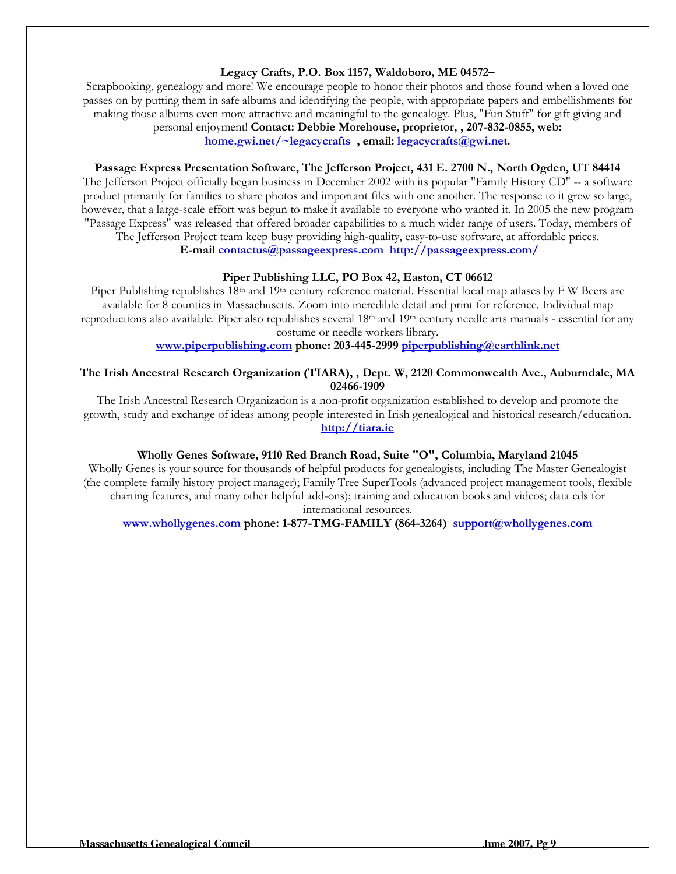## Legacy Crafts, P.O. Box 1157, Waldoboro, ME 04572–

Scrapbooking, genealogy and more! We encourage people to honor their photos and those found when a loved one passes on by putting them in safe albums and identifying the people, with appropriate papers and embellishments for making those albums even more attractive and meaningful to the genealogy. Plus, "Fun Stuff" for gift giving and personal enjoyment! Contact: Debbie Morehouse, proprietor, , 207-832-0855, web:

home.gwi.net/~legacycrafts, email: legacycrafts@gwi.net.

#### Passage Express Presentation Software, The Jefferson Project, 431 E. 2700 N., North Ogden, UT 84414

The Jefferson Project officially began business in December 2002 with its popular "Family History CD" -- a software product primarily for families to share photos and important files with one another. The response to it grew so large, however, that a large-scale effort was begun to make it available to everyone who wanted it. In 2005 the new program "Passage Express" was released that offered broader capabilities to a much wider range of users. Today, members of The Jefferson Project team keep busy providing high-quality, easy-to-use software, at affordable prices.

E-mail contactus@passageexpress.com http://passageexpress.com/

#### Piper Publishing LLC, PO Box 42, Easton, CT 06612

Piper Publishing republishes 18<sup>th</sup> and 19<sup>th</sup> century reference material. Essential local map atlases by F W Beers are available for 8 counties in Massachusetts. Zoom into incredible detail and print for reference. Individual map reproductions also available. Piper also republishes several  $18<sup>th</sup>$  and  $19<sup>th</sup>$  century needle arts manuals - essential for any costume or needle workers library.

www.piperpublishing.com phone: 203-445-2999 piperpublishing@earthlink.net

### The Irish Ancestral Research Organization (TIARA), , Dept. W, 2120 Commonwealth Ave., Auburndale, MA 02466-1909

The Irish Ancestral Research Organization is a non-profit organization established to develop and promote the growth, study and exchange of ideas among people interested in Irish genealogical and historical research/education. http://tiara.ie

#### Wholly Genes Software, 9110 Red Branch Road, Suite "O", Columbia, Maryland 21045

Wholly Genes is your source for thousands of helpful products for genealogists, including The Master Genealogist (the complete family history project manager); Family Tree SuperTools (advanced project management tools, flexible charting features, and many other helpful add-ons); training and education books and videos; data cds for international resources.

#### www.whollygenes.com phone: 1-877-TMG-FAMILY (864-3264) support@whollygenes.com